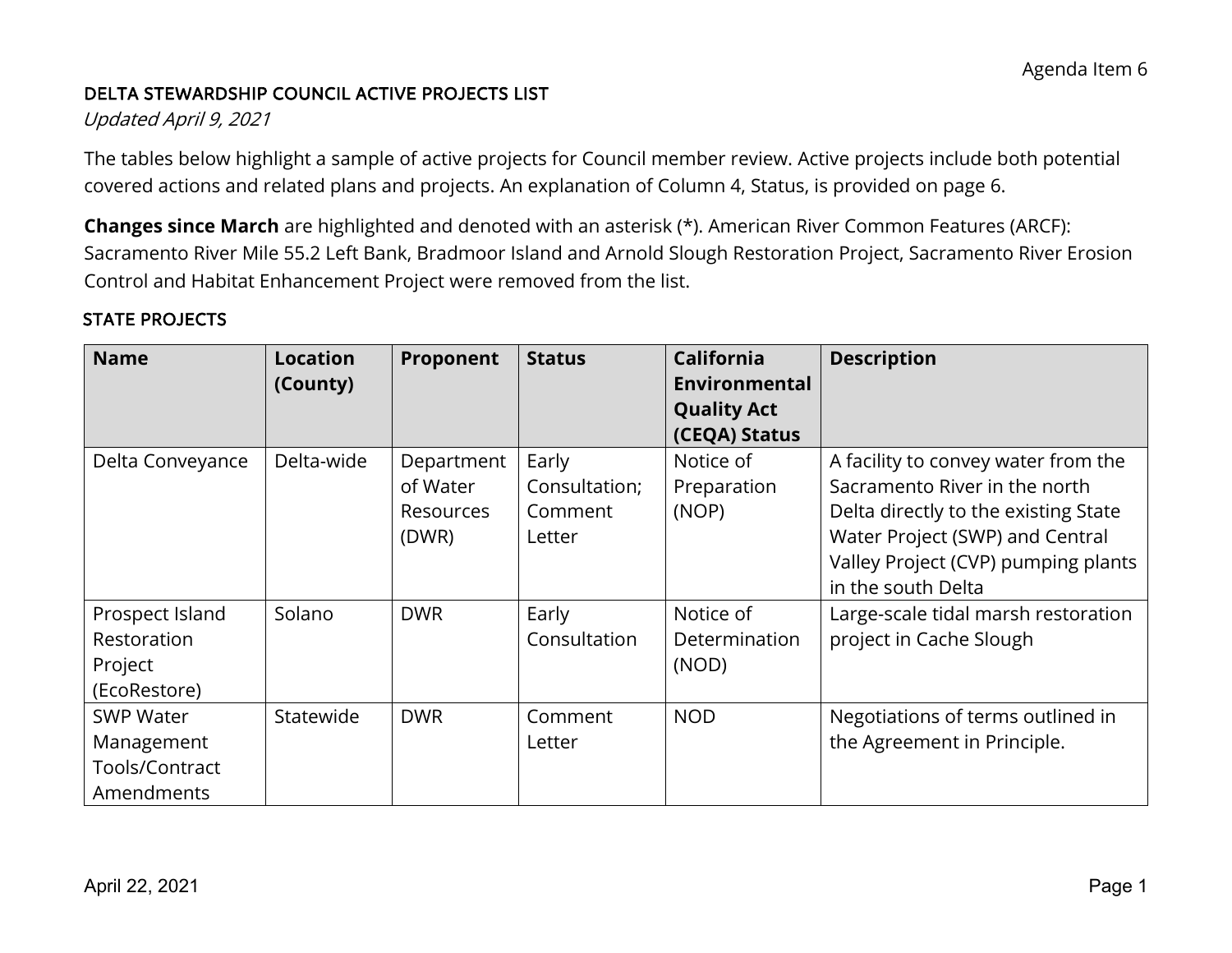## DELTA STEWARDSHIP COUNCIL ACTIVE PROJECTS LIST

### Updated April 9, 2021

 covered actions and related plans and projects. An explanation of Column 4, Status, is provided on page 6. The tables below highlight a sample of active projects for Council member review. Active projects include both potential

**Changes since March** are highlighted and denoted with an asterisk (\*). American River Common Features (ARCF): Sacramento River Mile 55.2 Left Bank, Bradmoor Island and Arnold Slough Restoration Project, Sacramento River Erosion Control and Habitat Enhancement Project were removed from the list.

### STATE PROJECTS

| <b>Name</b>      | <b>Location</b><br>(County) | Proponent  | <b>Status</b> | <b>California</b><br>Environmental | <b>Description</b>                   |
|------------------|-----------------------------|------------|---------------|------------------------------------|--------------------------------------|
|                  |                             |            |               | <b>Quality Act</b>                 |                                      |
|                  |                             |            |               | (CEQA) Status                      |                                      |
| Delta Conveyance | Delta-wide                  | Department | Early         | Notice of                          | A facility to convey water from the  |
|                  |                             | of Water   | Consultation; | Preparation                        | Sacramento River in the north        |
|                  |                             | Resources  | Comment       | (NOP)                              | Delta directly to the existing State |
|                  |                             | (DWR)      | Letter        |                                    | Water Project (SWP) and Central      |
|                  |                             |            |               |                                    | Valley Project (CVP) pumping plants  |
|                  |                             |            |               |                                    | in the south Delta                   |
| Prospect Island  | Solano                      | <b>DWR</b> | Early         | Notice of                          | Large-scale tidal marsh restoration  |
| Restoration      |                             |            | Consultation  | Determination                      | project in Cache Slough              |
| Project          |                             |            |               | (NOD)                              |                                      |
| (EcoRestore)     |                             |            |               |                                    |                                      |
| <b>SWP Water</b> | Statewide                   | <b>DWR</b> | Comment       | <b>NOD</b>                         | Negotiations of terms outlined in    |
| Management       |                             |            | Letter        |                                    | the Agreement in Principle.          |
| Tools/Contract   |                             |            |               |                                    |                                      |
| Amendments       |                             |            |               |                                    |                                      |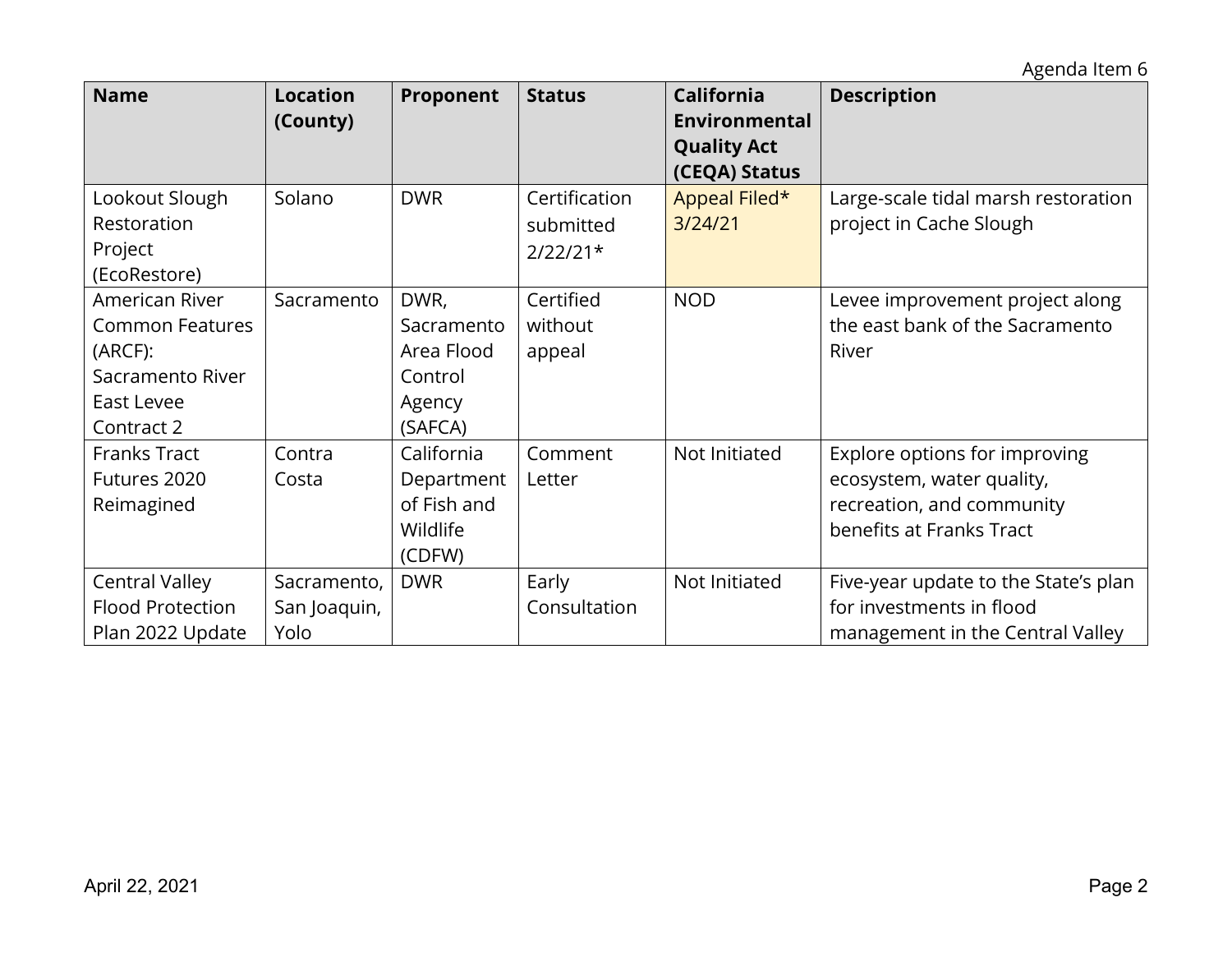Agenda Item 6

| <b>Name</b>                                                                                         | <b>Location</b><br>(County)         | Proponent                                                        | <b>Status</b>                            | <b>California</b><br>Environmental  | <b>Description</b>                                                                                                  |
|-----------------------------------------------------------------------------------------------------|-------------------------------------|------------------------------------------------------------------|------------------------------------------|-------------------------------------|---------------------------------------------------------------------------------------------------------------------|
|                                                                                                     |                                     |                                                                  |                                          | <b>Quality Act</b><br>(CEQA) Status |                                                                                                                     |
| Lookout Slough<br>Restoration<br>Project<br>(EcoRestore)                                            | Solano                              | <b>DWR</b>                                                       | Certification<br>submitted<br>$2/22/21*$ | Appeal Filed*<br>3/24/21            | Large-scale tidal marsh restoration<br>project in Cache Slough                                                      |
| American River<br><b>Common Features</b><br>(ARCF):<br>Sacramento River<br>East Levee<br>Contract 2 | Sacramento                          | DWR,<br>Sacramento<br>Area Flood<br>Control<br>Agency<br>(SAFCA) | Certified<br>without<br>appeal           | <b>NOD</b>                          | Levee improvement project along<br>the east bank of the Sacramento<br>River                                         |
| <b>Franks Tract</b><br>Futures 2020<br>Reimagined                                                   | Contra<br>Costa                     | California<br>Department<br>of Fish and<br>Wildlife<br>(CDFW)    | Comment<br>Letter                        | Not Initiated                       | Explore options for improving<br>ecosystem, water quality,<br>recreation, and community<br>benefits at Franks Tract |
| <b>Central Valley</b><br><b>Flood Protection</b><br>Plan 2022 Update                                | Sacramento,<br>San Joaquin,<br>Yolo | <b>DWR</b>                                                       | Early<br>Consultation                    | Not Initiated                       | Five-year update to the State's plan<br>for investments in flood<br>management in the Central Valley                |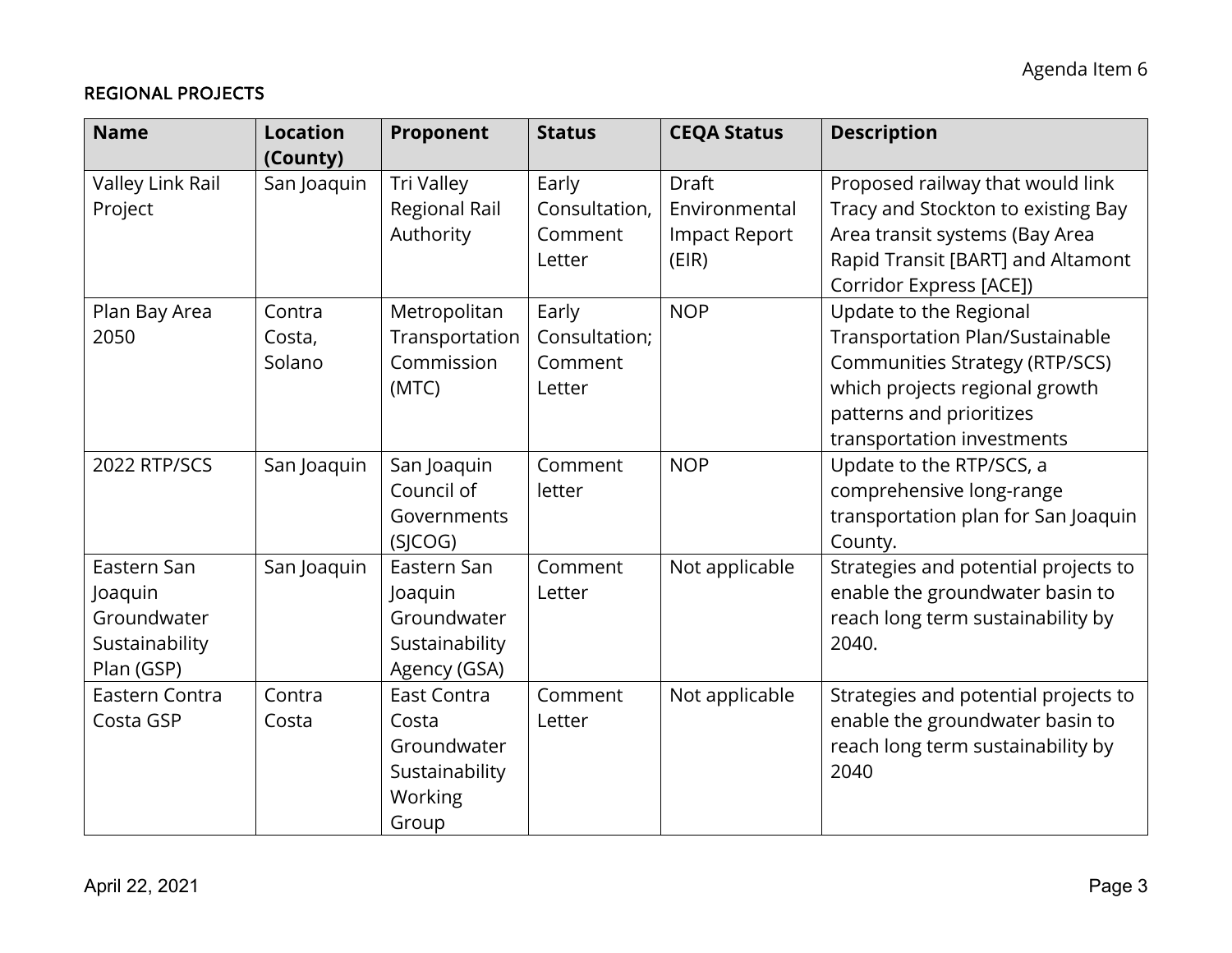### REGIONAL PROJECTS

| <b>Name</b>      | <b>Location</b><br>(County) | Proponent      | <b>Status</b> | <b>CEQA Status</b>   | <b>Description</b>                     |
|------------------|-----------------------------|----------------|---------------|----------------------|----------------------------------------|
| Valley Link Rail | San Joaquin                 | Tri Valley     | Early         | <b>Draft</b>         | Proposed railway that would link       |
| Project          |                             | Regional Rail  | Consultation, | Environmental        | Tracy and Stockton to existing Bay     |
|                  |                             | Authority      | Comment       | <b>Impact Report</b> | Area transit systems (Bay Area         |
|                  |                             |                | Letter        | (EIR)                | Rapid Transit [BART] and Altamont      |
|                  |                             |                |               |                      | Corridor Express [ACE])                |
| Plan Bay Area    | Contra                      | Metropolitan   | Early         | <b>NOP</b>           | Update to the Regional                 |
| 2050             | Costa,                      | Transportation | Consultation; |                      | <b>Transportation Plan/Sustainable</b> |
|                  | Solano                      | Commission     | Comment       |                      | <b>Communities Strategy (RTP/SCS)</b>  |
|                  |                             | (MTC)          | Letter        |                      | which projects regional growth         |
|                  |                             |                |               |                      | patterns and prioritizes               |
|                  |                             |                |               |                      | transportation investments             |
| 2022 RTP/SCS     | San Joaquin                 | San Joaquin    | Comment       | <b>NOP</b>           | Update to the RTP/SCS, a               |
|                  |                             | Council of     | letter        |                      | comprehensive long-range               |
|                  |                             | Governments    |               |                      | transportation plan for San Joaquin    |
|                  |                             | (SICOG)        |               |                      | County.                                |
| Eastern San      | San Joaquin                 | Eastern San    | Comment       | Not applicable       | Strategies and potential projects to   |
| Joaquin          |                             | Joaquin        | Letter        |                      | enable the groundwater basin to        |
| Groundwater      |                             | Groundwater    |               |                      | reach long term sustainability by      |
| Sustainability   |                             | Sustainability |               |                      | 2040.                                  |
| Plan (GSP)       |                             | Agency (GSA)   |               |                      |                                        |
| Eastern Contra   | Contra                      | East Contra    | Comment       | Not applicable       | Strategies and potential projects to   |
| Costa GSP        | Costa                       | Costa          | Letter        |                      | enable the groundwater basin to        |
|                  |                             | Groundwater    |               |                      | reach long term sustainability by      |
|                  |                             | Sustainability |               |                      | 2040                                   |
|                  |                             | Working        |               |                      |                                        |
|                  |                             | Group          |               |                      |                                        |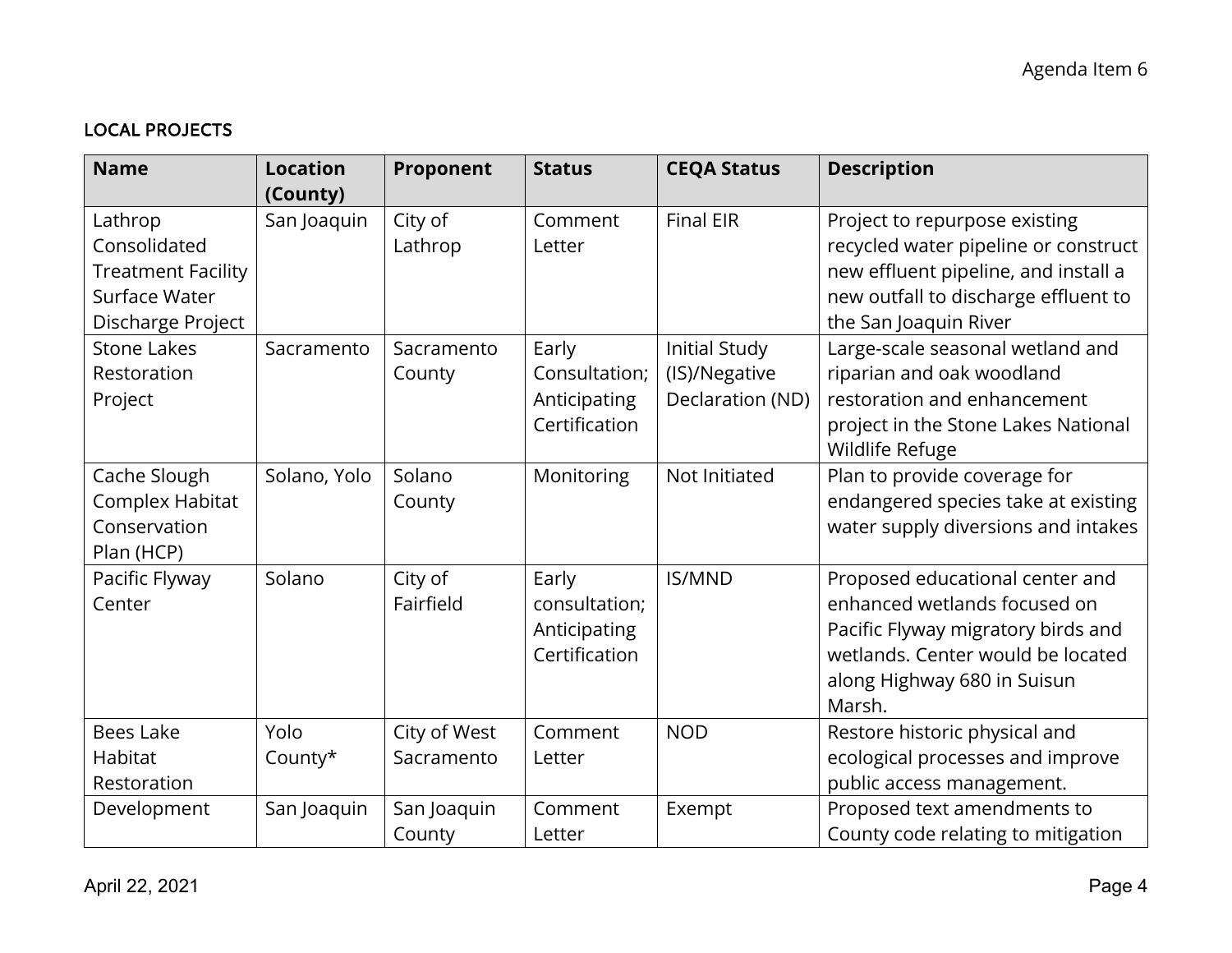# LOCAL PROJECTS

| <b>Name</b>                               | <b>Location</b><br>(County) | Proponent    | <b>Status</b>                 | <b>CEQA Status</b> | <b>Description</b>                                                           |
|-------------------------------------------|-----------------------------|--------------|-------------------------------|--------------------|------------------------------------------------------------------------------|
| Lathrop                                   | San Joaquin                 | City of      | Comment                       | <b>Final EIR</b>   | Project to repurpose existing                                                |
| Consolidated<br><b>Treatment Facility</b> |                             | Lathrop      | Letter                        |                    | recycled water pipeline or construct<br>new effluent pipeline, and install a |
| Surface Water                             |                             |              |                               |                    | new outfall to discharge effluent to                                         |
| Discharge Project                         |                             |              |                               |                    | the San Joaquin River                                                        |
| <b>Stone Lakes</b>                        | Sacramento                  | Sacramento   | Early                         | Initial Study      | Large-scale seasonal wetland and                                             |
| Restoration                               |                             | County       | Consultation;                 | (IS)/Negative      | riparian and oak woodland                                                    |
| Project                                   |                             |              | Anticipating                  | Declaration (ND)   | restoration and enhancement                                                  |
|                                           |                             |              | Certification                 |                    | project in the Stone Lakes National<br>Wildlife Refuge                       |
| Cache Slough                              | Solano, Yolo                | Solano       | Monitoring                    | Not Initiated      | Plan to provide coverage for                                                 |
| Complex Habitat                           |                             | County       |                               |                    | endangered species take at existing                                          |
| Conservation                              |                             |              |                               |                    | water supply diversions and intakes                                          |
| Plan (HCP)                                |                             |              |                               |                    |                                                                              |
| Pacific Flyway                            | Solano                      | City of      | Early                         | <b>IS/MND</b>      | Proposed educational center and                                              |
| Center                                    |                             | Fairfield    | consultation;                 |                    | enhanced wetlands focused on                                                 |
|                                           |                             |              | Anticipating<br>Certification |                    | Pacific Flyway migratory birds and<br>wetlands. Center would be located      |
|                                           |                             |              |                               |                    | along Highway 680 in Suisun                                                  |
|                                           |                             |              |                               |                    | Marsh.                                                                       |
| <b>Bees Lake</b>                          | Yolo                        | City of West | Comment                       | <b>NOD</b>         | Restore historic physical and                                                |
| Habitat                                   | County $*$                  | Sacramento   | Letter                        |                    | ecological processes and improve                                             |
| Restoration                               |                             |              |                               |                    | public access management.                                                    |
| Development                               | San Joaquin                 | San Joaquin  | Comment                       | Exempt             | Proposed text amendments to                                                  |
|                                           |                             | County       | Letter                        |                    | County code relating to mitigation                                           |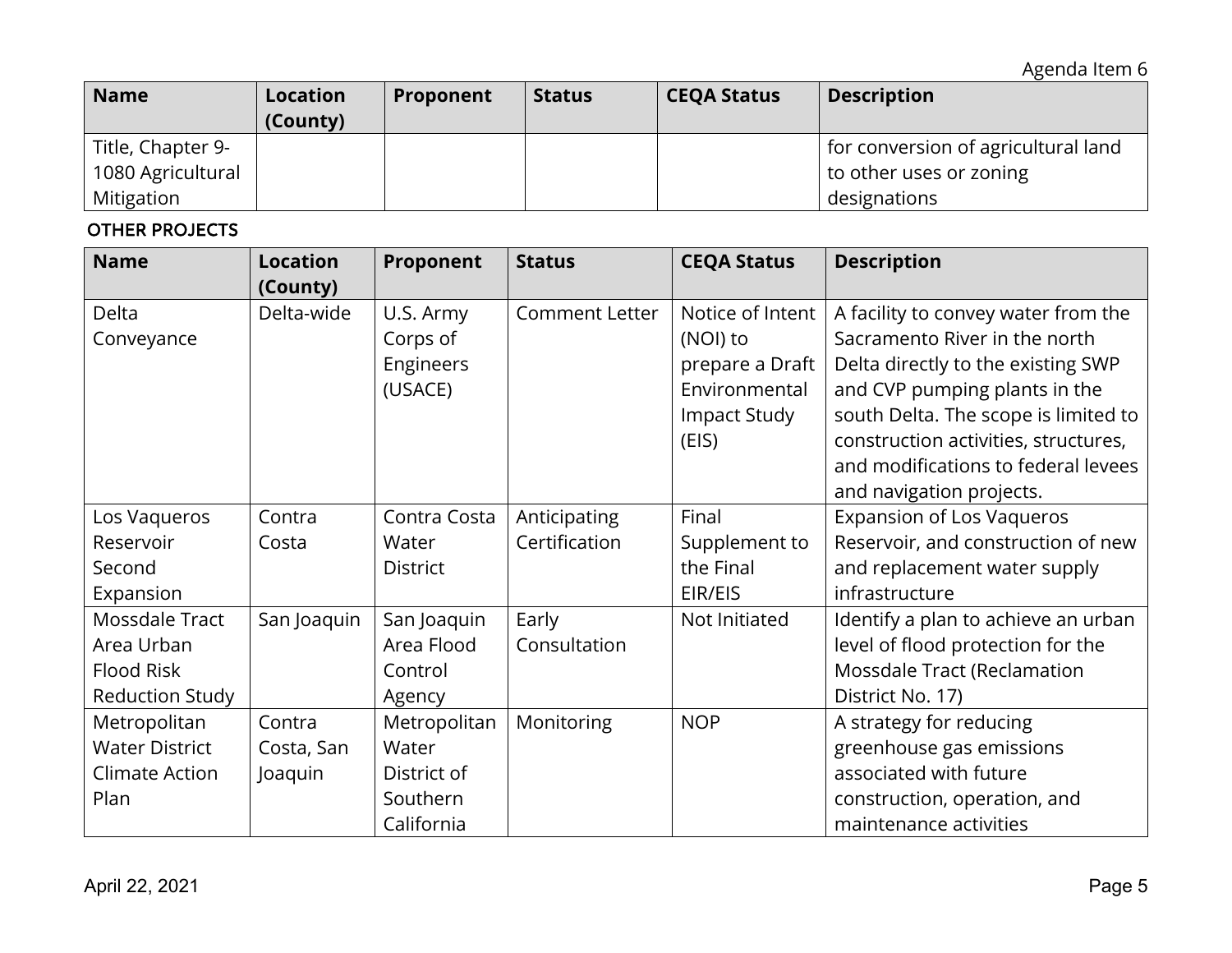| <b>Name</b>       | <b>Location</b><br>(County) | Proponent | <b>Status</b> | <b>CEQA Status</b> | <b>Description</b>                  |
|-------------------|-----------------------------|-----------|---------------|--------------------|-------------------------------------|
| Title, Chapter 9- |                             |           |               |                    | for conversion of agricultural land |
| 1080 Agricultural |                             |           |               |                    | to other uses or zoning             |
| Mitigation        |                             |           |               |                    | designations                        |

## OTHER PROJECTS

| <b>Name</b>            | <b>Location</b> | Proponent       | <b>Status</b>         | <b>CEQA Status</b> | <b>Description</b>                   |
|------------------------|-----------------|-----------------|-----------------------|--------------------|--------------------------------------|
|                        | (County)        |                 |                       |                    |                                      |
| Delta                  | Delta-wide      | U.S. Army       | <b>Comment Letter</b> | Notice of Intent   | A facility to convey water from the  |
| Conveyance             |                 | Corps of        |                       | (NOI) to           | Sacramento River in the north        |
|                        |                 | Engineers       |                       | prepare a Draft    | Delta directly to the existing SWP   |
|                        |                 | (USACE)         |                       | Environmental      | and CVP pumping plants in the        |
|                        |                 |                 |                       | Impact Study       | south Delta. The scope is limited to |
|                        |                 |                 |                       | (EIS)              | construction activities, structures, |
|                        |                 |                 |                       |                    | and modifications to federal levees  |
|                        |                 |                 |                       |                    | and navigation projects.             |
| Los Vaqueros           | Contra          | Contra Costa    | Anticipating          | Final              | <b>Expansion of Los Vaqueros</b>     |
| Reservoir              | Costa           | Water           | Certification         | Supplement to      | Reservoir, and construction of new   |
| Second                 |                 | <b>District</b> |                       | the Final          | and replacement water supply         |
| Expansion              |                 |                 |                       | EIR/EIS            | infrastructure                       |
| Mossdale Tract         | San Joaquin     | San Joaquin     | Early                 | Not Initiated      | Identify a plan to achieve an urban  |
| Area Urban             |                 | Area Flood      | Consultation          |                    | level of flood protection for the    |
| <b>Flood Risk</b>      |                 | Control         |                       |                    | Mossdale Tract (Reclamation          |
| <b>Reduction Study</b> |                 | Agency          |                       |                    | District No. 17)                     |
| Metropolitan           | Contra          | Metropolitan    | Monitoring            | <b>NOP</b>         | A strategy for reducing              |
| <b>Water District</b>  | Costa, San      | Water           |                       |                    | greenhouse gas emissions             |
| Climate Action         | Joaquin         | District of     |                       |                    | associated with future               |
| Plan                   |                 | Southern        |                       |                    | construction, operation, and         |
|                        |                 | California      |                       |                    | maintenance activities               |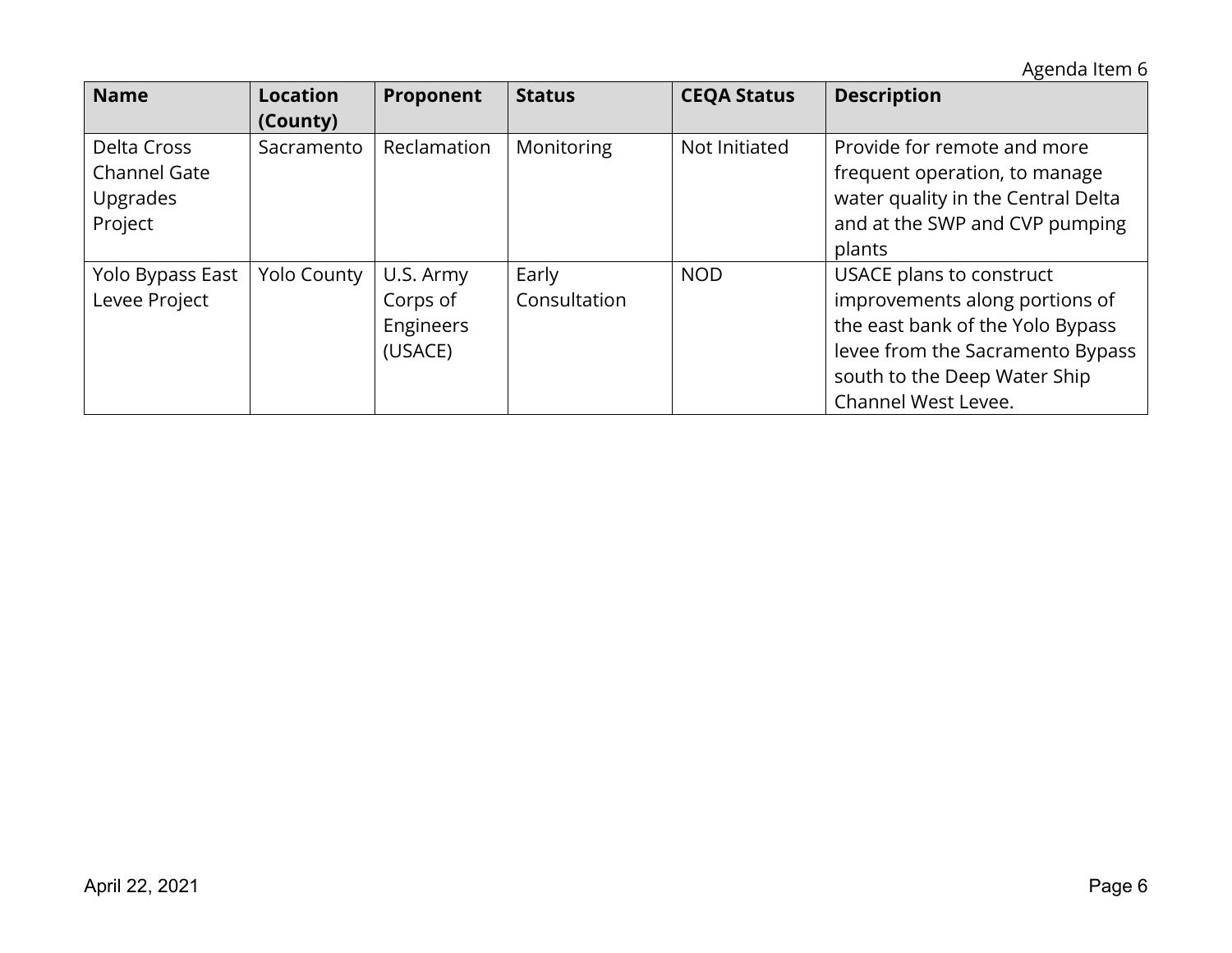Agenda Item 6

| <b>Name</b>                                                      | <b>Location</b><br>(County) | Proponent                                     | <b>Status</b>         | <b>CEQA Status</b> | <b>Description</b>                                                                                                                                                                        |
|------------------------------------------------------------------|-----------------------------|-----------------------------------------------|-----------------------|--------------------|-------------------------------------------------------------------------------------------------------------------------------------------------------------------------------------------|
| Delta Cross<br><b>Channel Gate</b><br><b>Upgrades</b><br>Project | Sacramento                  | Reclamation                                   | Monitoring            | Not Initiated      | Provide for remote and more<br>frequent operation, to manage<br>water quality in the Central Delta<br>and at the SWP and CVP pumping<br>plants                                            |
| Yolo Bypass East<br>Levee Project                                | <b>Yolo County</b>          | U.S. Army<br>Corps of<br>Engineers<br>(USACE) | Early<br>Consultation | <b>NOD</b>         | USACE plans to construct<br>improvements along portions of<br>the east bank of the Yolo Bypass<br>levee from the Sacramento Bypass<br>south to the Deep Water Ship<br>Channel West Levee. |